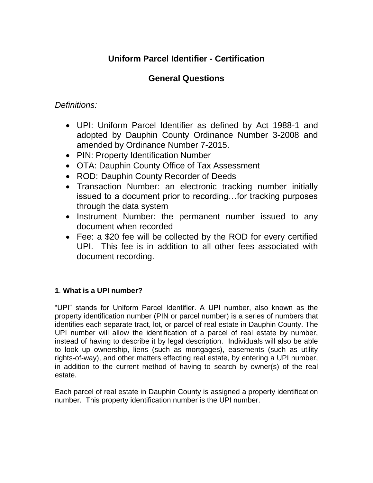# **Uniform Parcel Identifier - Certification**

# **General Questions**

## *Definitions:*

- UPI: Uniform Parcel Identifier as defined by Act 1988-1 and adopted by Dauphin County Ordinance Number 3-2008 and amended by Ordinance Number 7-2015.
- PIN: Property Identification Number
- OTA: Dauphin County Office of Tax Assessment
- ROD: Dauphin County Recorder of Deeds
- Transaction Number: an electronic tracking number initially issued to a document prior to recording…for tracking purposes through the data system
- Instrument Number: the permanent number issued to any document when recorded
- Fee: a \$20 fee will be collected by the ROD for every certified UPI. This fee is in addition to all other fees associated with document recording.

## **1**. **What is a UPI number?**

"UPI" stands for Uniform Parcel Identifier. A UPI number, also known as the property identification number (PIN or parcel number) is a series of numbers that identifies each separate tract, lot, or parcel of real estate in Dauphin County. The UPI number will allow the identification of a parcel of real estate by number, instead of having to describe it by legal description. Individuals will also be able to look up ownership, liens (such as mortgages), easements (such as utility rights-of-way), and other matters effecting real estate, by entering a UPI number, in addition to the current method of having to search by owner(s) of the real estate.

Each parcel of real estate in Dauphin County is assigned a property identification number. This property identification number is the UPI number.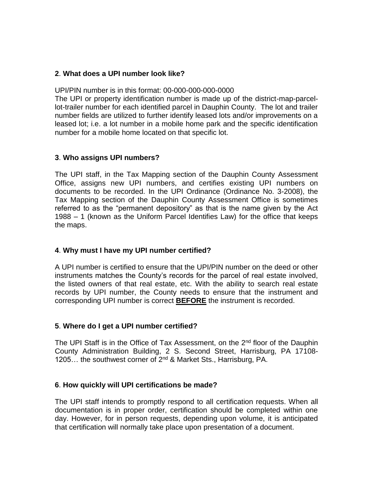#### **2**. **What does a UPI number look like?**

UPI/PIN number is in this format: 00-000-000-000-0000

The UPI or property identification number is made up of the district-map-parcellot-trailer number for each identified parcel in Dauphin County. The lot and trailer number fields are utilized to further identify leased lots and/or improvements on a leased lot; i.e. a lot number in a mobile home park and the specific identification number for a mobile home located on that specific lot.

#### **3**. **Who assigns UPI numbers?**

The UPI staff, in the Tax Mapping section of the Dauphin County Assessment Office, assigns new UPI numbers, and certifies existing UPI numbers on documents to be recorded. In the UPI Ordinance (Ordinance No. 3-2008), the Tax Mapping section of the Dauphin County Assessment Office is sometimes referred to as the "permanent depository" as that is the name given by the Act 1988 – 1 (known as the Uniform Parcel Identifies Law) for the office that keeps the maps.

#### **4**. **Why must I have my UPI number certified?**

A UPI number is certified to ensure that the UPI/PIN number on the deed or other instruments matches the County's records for the parcel of real estate involved, the listed owners of that real estate, etc. With the ability to search real estate records by UPI number, the County needs to ensure that the instrument and corresponding UPI number is correct **BEFORE** the instrument is recorded.

## **5**. **Where do I get a UPI number certified?**

The UPI Staff is in the Office of Tax Assessment, on the 2<sup>nd</sup> floor of the Dauphin County Administration Building, 2 S. Second Street, Harrisburg, PA 17108- 1205... the southwest corner of 2<sup>nd</sup> & Market Sts., Harrisburg, PA.

#### **6**. **How quickly will UPI certifications be made?**

The UPI staff intends to promptly respond to all certification requests. When all documentation is in proper order, certification should be completed within one day. However, for in person requests, depending upon volume, it is anticipated that certification will normally take place upon presentation of a document.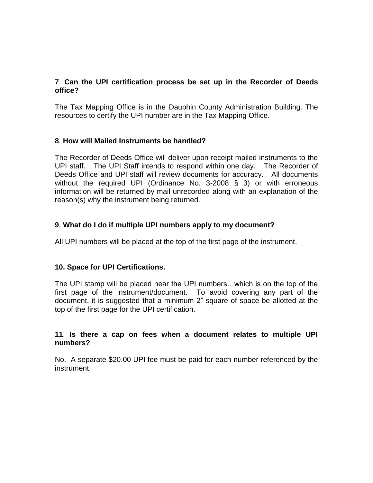#### **7**. **Can the UPI certification process be set up in the Recorder of Deeds office?**

The Tax Mapping Office is in the Dauphin County Administration Building. The resources to certify the UPI number are in the Tax Mapping Office.

## **8**. **How will Mailed Instruments be handled?**

The Recorder of Deeds Office will deliver upon receipt mailed instruments to the UPI staff. The UPI Staff intends to respond within one day. The Recorder of Deeds Office and UPI staff will review documents for accuracy. All documents without the required UPI (Ordinance No. 3-2008 § 3) or with erroneous information will be returned by mail unrecorded along with an explanation of the reason(s) why the instrument being returned.

## **9**. **What do I do if multiple UPI numbers apply to my document?**

All UPI numbers will be placed at the top of the first page of the instrument.

#### **10. Space for UPI Certifications.**

The UPI stamp will be placed near the UPI numbers…which is on the top of the first page of the instrument/document. To avoid covering any part of the document, it is suggested that a minimum 2" square of space be allotted at the top of the first page for the UPI certification.

#### **11**. **Is there a cap on fees when a document relates to multiple UPI numbers?**

No. A separate \$20.00 UPI fee must be paid for each number referenced by the instrument.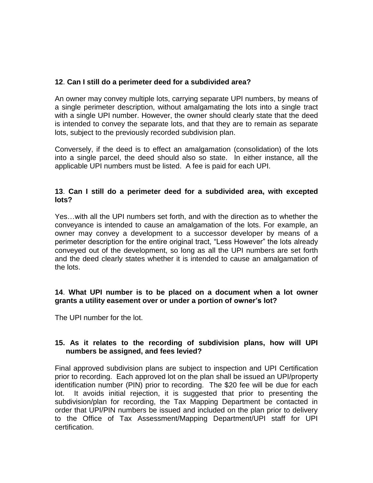## **12**. **Can I still do a perimeter deed for a subdivided area?**

An owner may convey multiple lots, carrying separate UPI numbers, by means of a single perimeter description, without amalgamating the lots into a single tract with a single UPI number. However, the owner should clearly state that the deed is intended to convey the separate lots, and that they are to remain as separate lots, subject to the previously recorded subdivision plan.

Conversely, if the deed is to effect an amalgamation (consolidation) of the lots into a single parcel, the deed should also so state. In either instance, all the applicable UPI numbers must be listed. A fee is paid for each UPI.

#### **13**. **Can I still do a perimeter deed for a subdivided area, with excepted lots?**

Yes…with all the UPI numbers set forth, and with the direction as to whether the conveyance is intended to cause an amalgamation of the lots. For example, an owner may convey a development to a successor developer by means of a perimeter description for the entire original tract, "Less However" the lots already conveyed out of the development, so long as all the UPI numbers are set forth and the deed clearly states whether it is intended to cause an amalgamation of the lots.

#### **14**. **What UPI number is to be placed on a document when a lot owner grants a utility easement over or under a portion of owner's lot?**

The UPI number for the lot.

## **15. As it relates to the recording of subdivision plans, how will UPI numbers be assigned, and fees levied?**

Final approved subdivision plans are subject to inspection and UPI Certification prior to recording. Each approved lot on the plan shall be issued an UPI/property identification number (PIN) prior to recording. The \$20 fee will be due for each lot. It avoids initial rejection, it is suggested that prior to presenting the subdivision/plan for recording, the Tax Mapping Department be contacted in order that UPI/PIN numbers be issued and included on the plan prior to delivery to the Office of Tax Assessment/Mapping Department/UPI staff for UPI certification.